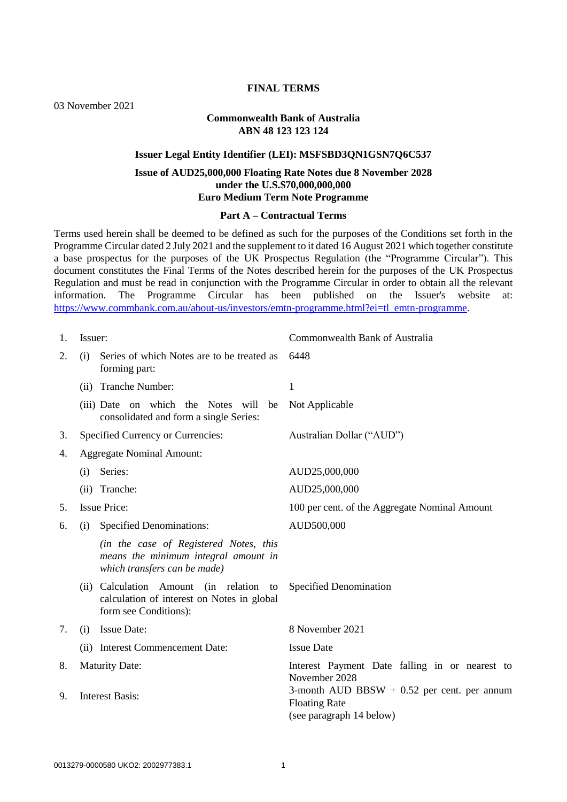## **FINAL TERMS**

03 November 2021

#### **Commonwealth Bank of Australia ABN 48 123 123 124**

## **Issuer Legal Entity Identifier (LEI): MSFSBD3QN1GSN7Q6C537**

# **Issue of AUD25,000,000 Floating Rate Notes due 8 November 2028 under the U.S.\$70,000,000,000 Euro Medium Term Note Programme**

## **Part A – Contractual Terms**

Terms used herein shall be deemed to be defined as such for the purposes of the Conditions set forth in the Programme Circular dated 2 July 2021 and the supplement to it dated 16 August 2021 which together constitute a base prospectus for the purposes of the UK Prospectus Regulation (the "Programme Circular"). This document constitutes the Final Terms of the Notes described herein for the purposes of the UK Prospectus Regulation and must be read in conjunction with the Programme Circular in order to obtain all the relevant information. The Programme Circular has been published on the Issuer's website at: [https://www.commbank.com.au/about-us/investors/emtn-programme.html?ei=tl\\_emtn-programme.](https://www.commbank.com.au/about-us/investors/emtn-programme.html?ei=tl_emtn-programme)

| Issuer:                                                                                                                                                                                                                             | Commonwealth Bank of Australia                |  |
|-------------------------------------------------------------------------------------------------------------------------------------------------------------------------------------------------------------------------------------|-----------------------------------------------|--|
| Series of which Notes are to be treated as<br>(i)<br>forming part:                                                                                                                                                                  | 6448<br>1                                     |  |
| (ii) Tranche Number:                                                                                                                                                                                                                |                                               |  |
| (iii) Date on which the Notes will be<br>consolidated and form a single Series:                                                                                                                                                     | Not Applicable                                |  |
| Specified Currency or Currencies:                                                                                                                                                                                                   | Australian Dollar ("AUD")                     |  |
| <b>Aggregate Nominal Amount:</b><br>4.                                                                                                                                                                                              |                                               |  |
| Series:<br>(i)                                                                                                                                                                                                                      | AUD25,000,000                                 |  |
| (ii) Tranche:                                                                                                                                                                                                                       | AUD25,000,000                                 |  |
| <b>Issue Price:</b>                                                                                                                                                                                                                 | 100 per cent. of the Aggregate Nominal Amount |  |
| <b>Specified Denominations:</b><br>(i)                                                                                                                                                                                              | AUD500,000                                    |  |
| (in the case of Registered Notes, this<br>means the minimum integral amount in<br>which transfers can be made)                                                                                                                      |                                               |  |
| (ii) Calculation Amount (in relation to<br>calculation of interest on Notes in global<br>form see Conditions):                                                                                                                      | <b>Specified Denomination</b>                 |  |
| <b>Issue Date:</b><br>(i)                                                                                                                                                                                                           | 8 November 2021                               |  |
| (ii) Interest Commencement Date:                                                                                                                                                                                                    | <b>Issue Date</b>                             |  |
| <b>Maturity Date:</b><br>Interest Payment Date falling in or nearest to<br>8.<br>November 2028<br>3-month AUD BBSW $+$ 0.52 per cent. per annum<br><b>Interest Basis:</b><br>9.<br><b>Floating Rate</b><br>(see paragraph 14 below) |                                               |  |
|                                                                                                                                                                                                                                     |                                               |  |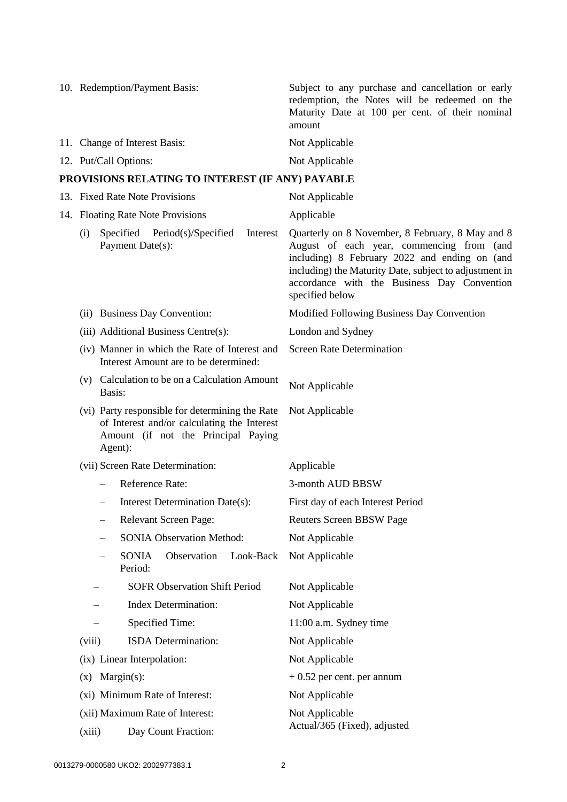<span id="page-1-0"></span>

|                                                                         | 10. Redemption/Payment Basis:                                                                                                                    | Subject to any purchase and cancellation or early<br>redemption, the Notes will be redeemed on the<br>Maturity Date at 100 per cent. of their nominal<br>amount                                                                                                            |  |
|-------------------------------------------------------------------------|--------------------------------------------------------------------------------------------------------------------------------------------------|----------------------------------------------------------------------------------------------------------------------------------------------------------------------------------------------------------------------------------------------------------------------------|--|
|                                                                         | 11. Change of Interest Basis:                                                                                                                    | Not Applicable                                                                                                                                                                                                                                                             |  |
|                                                                         | 12. Put/Call Options:                                                                                                                            | Not Applicable                                                                                                                                                                                                                                                             |  |
|                                                                         | PROVISIONS RELATING TO INTEREST (IF ANY) PAYABLE                                                                                                 |                                                                                                                                                                                                                                                                            |  |
|                                                                         | 13. Fixed Rate Note Provisions                                                                                                                   | Not Applicable                                                                                                                                                                                                                                                             |  |
|                                                                         | 14. Floating Rate Note Provisions                                                                                                                | Applicable                                                                                                                                                                                                                                                                 |  |
| Specified<br>Period(s)/Specified<br>(i)<br>Interest<br>Payment Date(s): |                                                                                                                                                  | Quarterly on 8 November, 8 February, 8 May and 8<br>August of each year, commencing from (and<br>including) 8 February 2022 and ending on (and<br>including) the Maturity Date, subject to adjustment in<br>accordance with the Business Day Convention<br>specified below |  |
|                                                                         | (ii) Business Day Convention:                                                                                                                    | Modified Following Business Day Convention                                                                                                                                                                                                                                 |  |
|                                                                         | (iii) Additional Business Centre(s):                                                                                                             | London and Sydney                                                                                                                                                                                                                                                          |  |
|                                                                         | (iv) Manner in which the Rate of Interest and<br>Interest Amount are to be determined:                                                           | <b>Screen Rate Determination</b>                                                                                                                                                                                                                                           |  |
|                                                                         | (v) Calculation to be on a Calculation Amount<br>Basis:                                                                                          | Not Applicable                                                                                                                                                                                                                                                             |  |
|                                                                         | (vi) Party responsible for determining the Rate<br>of Interest and/or calculating the Interest<br>Amount (if not the Principal Paying<br>Agent): | Not Applicable                                                                                                                                                                                                                                                             |  |
|                                                                         | (vii) Screen Rate Determination:                                                                                                                 | Applicable                                                                                                                                                                                                                                                                 |  |
|                                                                         | Reference Rate:                                                                                                                                  | 3-month AUD BBSW                                                                                                                                                                                                                                                           |  |
|                                                                         | Interest Determination Date(s):<br>$\overline{\phantom{0}}$                                                                                      | First day of each Interest Period                                                                                                                                                                                                                                          |  |
|                                                                         | Relevant Screen Page:                                                                                                                            | <b>Reuters Screen BBSW Page</b>                                                                                                                                                                                                                                            |  |
|                                                                         | <b>SONIA Observation Method:</b>                                                                                                                 | Not Applicable                                                                                                                                                                                                                                                             |  |
|                                                                         | <b>SONIA</b><br>Observation<br>Look-Back<br>Period:                                                                                              | Not Applicable                                                                                                                                                                                                                                                             |  |
|                                                                         | <b>SOFR Observation Shift Period</b>                                                                                                             | Not Applicable                                                                                                                                                                                                                                                             |  |
|                                                                         | <b>Index Determination:</b>                                                                                                                      | Not Applicable                                                                                                                                                                                                                                                             |  |
|                                                                         | Specified Time:                                                                                                                                  | 11:00 a.m. Sydney time                                                                                                                                                                                                                                                     |  |
|                                                                         | ISDA Determination:<br>(viii)                                                                                                                    | Not Applicable                                                                                                                                                                                                                                                             |  |
|                                                                         | (ix) Linear Interpolation:                                                                                                                       | Not Applicable                                                                                                                                                                                                                                                             |  |
|                                                                         | $Margin(s)$ :<br>(X)                                                                                                                             | $+0.52$ per cent. per annum                                                                                                                                                                                                                                                |  |
|                                                                         | (xi) Minimum Rate of Interest:                                                                                                                   | Not Applicable                                                                                                                                                                                                                                                             |  |
|                                                                         | (xii) Maximum Rate of Interest:                                                                                                                  | Not Applicable<br>Actual/365 (Fixed), adjusted                                                                                                                                                                                                                             |  |
|                                                                         | (xiii)<br>Day Count Fraction:                                                                                                                    |                                                                                                                                                                                                                                                                            |  |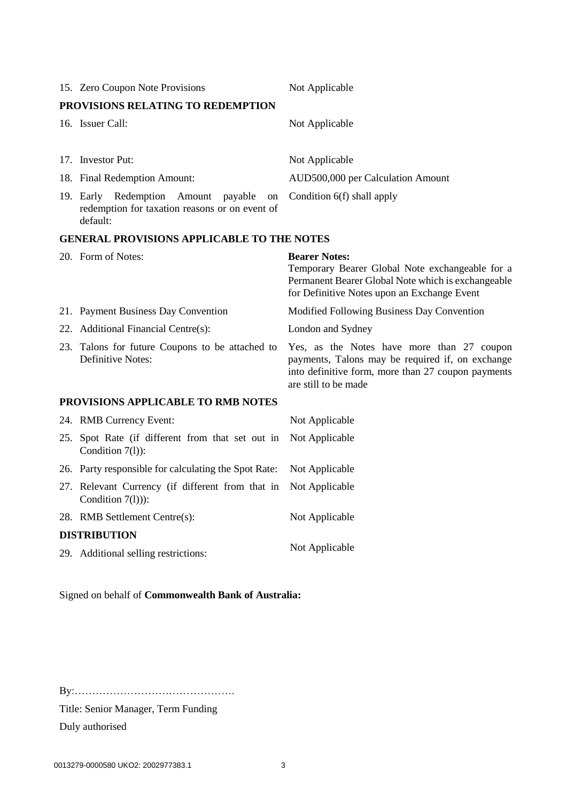| 15. Zero Coupon Note Provisions                                                                            | Not Applicable                                                                                                                                                               |  |
|------------------------------------------------------------------------------------------------------------|------------------------------------------------------------------------------------------------------------------------------------------------------------------------------|--|
| PROVISIONS RELATING TO REDEMPTION                                                                          |                                                                                                                                                                              |  |
| 16. Issuer Call:                                                                                           | Not Applicable                                                                                                                                                               |  |
| 17. Investor Put:                                                                                          | Not Applicable                                                                                                                                                               |  |
| 18. Final Redemption Amount:                                                                               | AUD500,000 per Calculation Amount                                                                                                                                            |  |
| 19. Early Redemption Amount<br>payable<br>on<br>redemption for taxation reasons or on event of<br>default: | Condition 6(f) shall apply                                                                                                                                                   |  |
| <b>GENERAL PROVISIONS APPLICABLE TO THE NOTES</b>                                                          |                                                                                                                                                                              |  |
| 20. Form of Notes:                                                                                         | <b>Bearer Notes:</b><br>Temporary Bearer Global Note exchangeable for a<br>Permanent Bearer Global Note which is exchangeable<br>for Definitive Notes upon an Exchange Event |  |
| 21. Payment Business Day Convention                                                                        | Modified Following Business Day Convention                                                                                                                                   |  |
| 22. Additional Financial Centre(s):                                                                        | London and Sydney                                                                                                                                                            |  |
| 23. Talons for future Coupons to be attached to<br><b>Definitive Notes:</b>                                | Yes, as the Notes have more than 27 coupon<br>payments, Talons may be required if, on exchange<br>into definitive form, more than 27 coupon payments<br>are still to be made |  |
| PROVISIONS APPLICABLE TO RMB NOTES                                                                         |                                                                                                                                                                              |  |
| 24. RMB Currency Event:                                                                                    | Not Applicable                                                                                                                                                               |  |
| 25. Spot Rate (if different from that set out in<br>Condition 7(1)):                                       | Not Applicable                                                                                                                                                               |  |
| 26. Party responsible for calculating the Spot Rate:                                                       | Not Applicable                                                                                                                                                               |  |
| 27. Relevant Currency (if different from that in<br>Condition $7(l)$ ):                                    | Not Applicable                                                                                                                                                               |  |
| 28. RMB Settlement Centre(s):                                                                              | Not Applicable                                                                                                                                                               |  |
| <b>DISTRIBUTION</b>                                                                                        |                                                                                                                                                                              |  |
|                                                                                                            |                                                                                                                                                                              |  |

29. Additional selling restrictions: Not Applicable

Signed on behalf of **Commonwealth Bank of Australia:**

By:……………………………………….

Title: Senior Manager, Term Funding

Duly authorised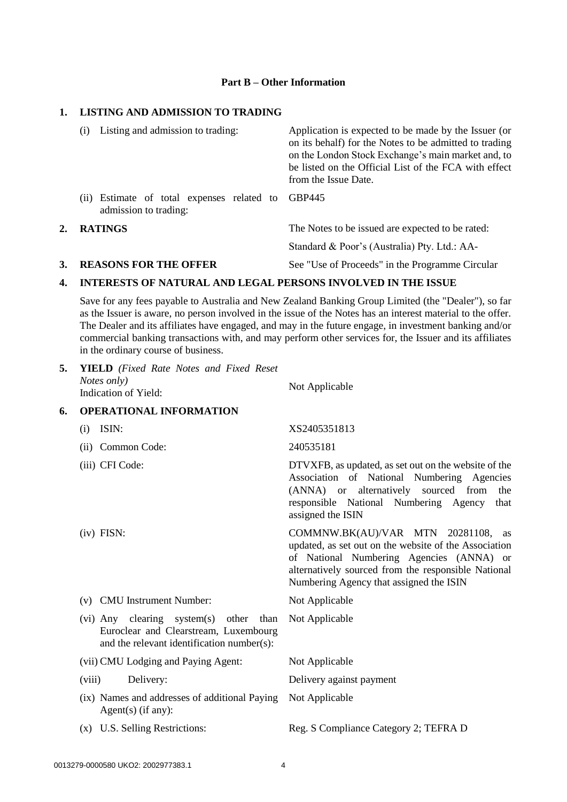## **Part B – Other Information**

# **1. LISTING AND ADMISSION TO TRADING**

|    | Listing and admission to trading:<br>(i)                            | Application is expected to be made by the Issuer (or<br>on its behalf) for the Notes to be admitted to trading<br>on the London Stock Exchange's main market and, to<br>be listed on the Official List of the FCA with effect<br>from the Issue Date. |  |
|----|---------------------------------------------------------------------|-------------------------------------------------------------------------------------------------------------------------------------------------------------------------------------------------------------------------------------------------------|--|
|    | (ii) Estimate of total expenses related to<br>admission to trading: | GBP445                                                                                                                                                                                                                                                |  |
| 2. | <b>RATINGS</b>                                                      | The Notes to be issued are expected to be rated:<br>Standard & Poor's (Australia) Pty. Ltd.: AA-                                                                                                                                                      |  |
|    |                                                                     |                                                                                                                                                                                                                                                       |  |

**3. REASONS FOR THE OFFER** See "Use of Proceeds" in the Programme Circular

#### **4. INTERESTS OF NATURAL AND LEGAL PERSONS INVOLVED IN THE ISSUE**

Save for any fees payable to Australia and New Zealand Banking Group Limited (the "Dealer"), so far as the Issuer is aware, no person involved in the issue of the Notes has an interest material to the offer. The Dealer and its affiliates have engaged, and may in the future engage, in investment banking and/or commercial banking transactions with, and may perform other services for, the Issuer and its affiliates in the ordinary course of business.

| 5. | <b>YIELD</b> (Fixed Rate Notes and Fixed Reset<br>Notes only)<br>Indication of Yield:                                         | Not Applicable                                                                                                                                                                                                                               |  |
|----|-------------------------------------------------------------------------------------------------------------------------------|----------------------------------------------------------------------------------------------------------------------------------------------------------------------------------------------------------------------------------------------|--|
| 6. | <b>OPERATIONAL INFORMATION</b>                                                                                                |                                                                                                                                                                                                                                              |  |
|    | ISIN:<br>(i)                                                                                                                  | XS2405351813                                                                                                                                                                                                                                 |  |
|    | (ii) Common Code:                                                                                                             | 240535181                                                                                                                                                                                                                                    |  |
|    | (iii) CFI Code:                                                                                                               | DTVXFB, as updated, as set out on the website of the<br>Association of National Numbering Agencies<br>(ANNA) or alternatively sourced from<br>the<br>responsible National Numbering Agency<br>that<br>assigned the ISIN                      |  |
|    | $(iv)$ FISN:                                                                                                                  | COMMNW.BK(AU)/VAR MTN 20281108,<br>as<br>updated, as set out on the website of the Association<br>of National Numbering Agencies (ANNA) or<br>alternatively sourced from the responsible National<br>Numbering Agency that assigned the ISIN |  |
|    | <b>CMU</b> Instrument Number:<br>(v)                                                                                          | Not Applicable                                                                                                                                                                                                                               |  |
|    | (vi) Any clearing system(s) other than<br>Euroclear and Clearstream, Luxembourg<br>and the relevant identification number(s): | Not Applicable                                                                                                                                                                                                                               |  |
|    | (vii) CMU Lodging and Paying Agent:                                                                                           | Not Applicable                                                                                                                                                                                                                               |  |
|    | (viii)<br>Delivery:                                                                                                           | Delivery against payment                                                                                                                                                                                                                     |  |
|    | (ix) Names and addresses of additional Paying<br>Agent $(s)$ (if any):                                                        | Not Applicable                                                                                                                                                                                                                               |  |
|    | (x) U.S. Selling Restrictions:                                                                                                | Reg. S Compliance Category 2; TEFRA D                                                                                                                                                                                                        |  |